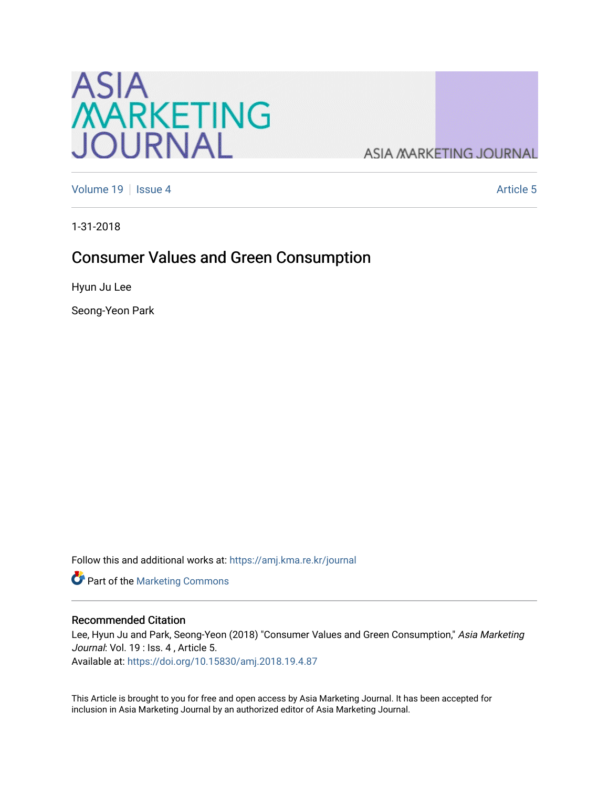

**ASIA MARKETING JOURNAL** 

[Volume 19](https://amj.kma.re.kr/journal/vol19) | [Issue 4](https://amj.kma.re.kr/journal/vol19/iss4) Article 5

1-31-2018

# Consumer Values and Green Consumption

Hyun Ju Lee

Seong-Yeon Park

Follow this and additional works at: [https://amj.kma.re.kr/journal](https://amj.kma.re.kr/journal?utm_source=amj.kma.re.kr%2Fjournal%2Fvol19%2Fiss4%2F5&utm_medium=PDF&utm_campaign=PDFCoverPages) 

Part of the [Marketing Commons](http://network.bepress.com/hgg/discipline/638?utm_source=amj.kma.re.kr%2Fjournal%2Fvol19%2Fiss4%2F5&utm_medium=PDF&utm_campaign=PDFCoverPages)

#### Recommended Citation

Lee, Hyun Ju and Park, Seong-Yeon (2018) "Consumer Values and Green Consumption," Asia Marketing Journal: Vol. 19 : Iss. 4, Article 5. Available at:<https://doi.org/10.15830/amj.2018.19.4.87>

This Article is brought to you for free and open access by Asia Marketing Journal. It has been accepted for inclusion in Asia Marketing Journal by an authorized editor of Asia Marketing Journal.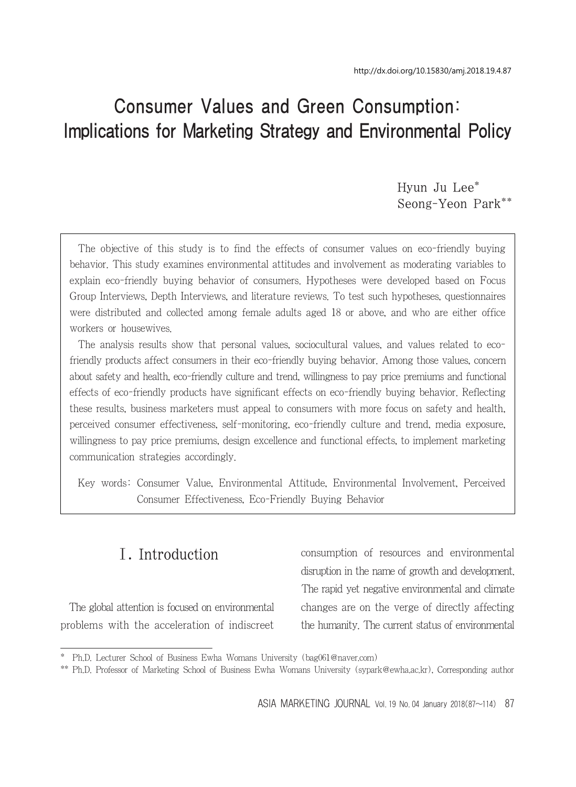# Consumer Values and Green Consumption: Implications for Marketing Strategy and Environmental Policy

Hyun Ju Lee\* Seong-Yeon Park\*\*

The objective of this study is to find the effects of consumer values on eco-friendly buying behavior. This study examines environmental attitudes and involvement as moderating variables to explain eco-friendly buying behavior of consumers. Hypotheses were developed based on Focus Group Interviews, Depth Interviews, and literature reviews. To test such hypotheses, questionnaires were distributed and collected among female adults aged 18 or above, and who are either office workers or housewives.

The analysis results show that personal values, sociocultural values, and values related to ecofriendly products affect consumers in their eco-friendly buying behavior. Among those values, concern about safety and health, eco-friendly culture and trend, willingness to pay price premiums and functional effects of eco-friendly products have significant effects on eco-friendly buying behavior. Reflecting these results, business marketers must appeal to consumers with more focus on safety and health, perceived consumer effectiveness, self-monitoring, eco-friendly culture and trend, media exposure, willingness to pay price premiums, design excellence and functional effects, to implement marketing communication strategies accordingly.

Key words: Consumer Value, Environmental Attitude, Environmental Involvement, Perceived Consumer Effectiveness, Eco-Friendly Buying Behavior

# Ⅰ. Introduction

The global attention is focused on environmental problems with the acceleration of indiscreet consumption of resources and environmental disruption in the name of growth and development. The rapid yet negative environmental and climate changes are on the verge of directly affecting the humanity. The current status of environmental

<sup>\*</sup> Ph.D. Lecturer School of Business Ewha Womans University (bag061@naver.com)

<sup>\*\*</sup> Ph.D. Professor of Marketing School of Business Ewha Womans University (sypark@ewha.ac.kr), Corresponding author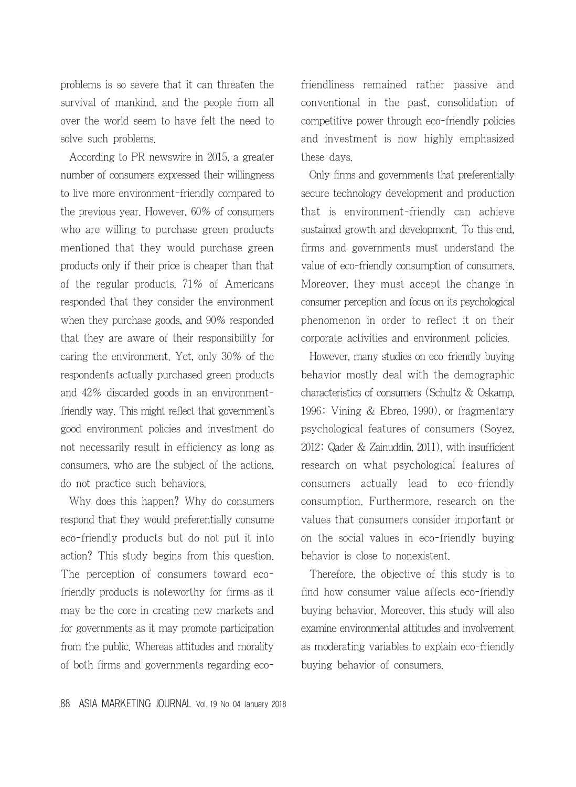problems is so severe that it can threaten the survival of mankind, and the people from all over the world seem to have felt the need to solve such problems.

According to PR newswire in 2015, a greater number of consumers expressed their willingness to live more environment-friendly compared to the previous year. However, 60% of consumers who are willing to purchase green products mentioned that they would purchase green products only if their price is cheaper than that of the regular products. 71% of Americans responded that they consider the environment when they purchase goods, and 90% responded that they are aware of their responsibility for caring the environment. Yet, only 30% of the respondents actually purchased green products and 42% discarded goods in an environmentfriendly way. This might reflect that government's good environment policies and investment do not necessarily result in efficiency as long as consumers, who are the subject of the actions, do not practice such behaviors.

Why does this happen? Why do consumers respond that they would preferentially consume eco-friendly products but do not put it into action? This study begins from this question. The perception of consumers toward ecofriendly products is noteworthy for firms as it may be the core in creating new markets and for governments as it may promote participation from the public. Whereas attitudes and morality of both firms and governments regarding ecofriendliness remained rather passive and conventional in the past, consolidation of competitive power through eco-friendly policies and investment is now highly emphasized these days.

Only firms and governments that preferentially secure technology development and production that is environment-friendly can achieve sustained growth and development. To this end, firms and governments must understand the value of eco-friendly consumption of consumers. Moreover, they must accept the change in consumer perception and focus on its psychological phenomenon in order to reflect it on their corporate activities and environment policies.

However, many studies on eco-friendly buying behavior mostly deal with the demographic characteristics of consumers (Schultz & Oskamp, 1996; Vining & Ebreo, 1990), or fragmentary psychological features of consumers (Soyez, 2012; Qader & Zainuddin, 2011), with insufficient research on what psychological features of consumers actually lead to eco-friendly consumption. Furthermore, research on the values that consumers consider important or on the social values in eco-friendly buying behavior is close to nonexistent.

Therefore, the objective of this study is to find how consumer value affects eco-friendly buying behavior. Moreover, this study will also examine environmental attitudes and involvement as moderating variables to explain eco-friendly buying behavior of consumers.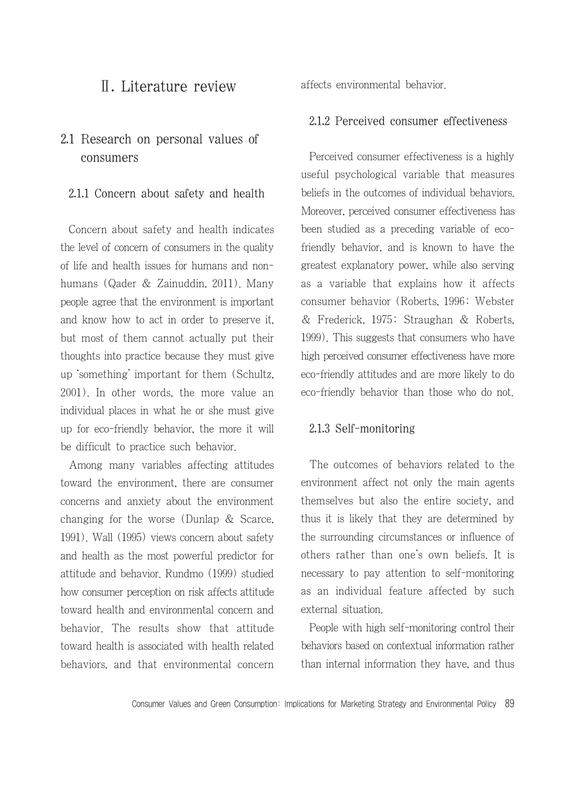### Ⅱ. Literature review

### 2.1 Research on personal values of consumers

#### 2.1.1 Concern about safety and health

Concern about safety and health indicates the level of concern of consumers in the quality of life and health issues for humans and nonhumans (Qader & Zainuddin, 2011). Many people agree that the environment is important and know how to act in order to preserve it, but most of them cannot actually put their thoughts into practice because they must give up 'something' important for them (Schultz, 2001). In other words, the more value an individual places in what he or she must give up for eco-friendly behavior, the more it will be difficult to practice such behavior.

Among many variables affecting attitudes toward the environment, there are consumer concerns and anxiety about the environment changing for the worse (Dunlap & Scarce, 1991). Wall (1995) views concern about safety and health as the most powerful predictor for attitude and behavior. Rundmo (1999) studied how consumer perception on risk affects attitude toward health and environmental concern and behavior. The results show that attitude toward health is associated with health related behaviors, and that environmental concern affects environmental behavior.

#### 2.1.2 Perceived consumer effectiveness

Perceived consumer effectiveness is a highly useful psychological variable that measures beliefs in the outcomes of individual behaviors. Moreover, perceived consumer effectiveness has been studied as a preceding variable of ecofriendly behavior, and is known to have the greatest explanatory power, while also serving as a variable that explains how it affects consumer behavior (Roberts, 1996; Webster & Frederick, 1975; Straughan & Roberts, 1999). This suggests that consumers who have high perceived consumer effectiveness have more eco-friendly attitudes and are more likely to do eco-friendly behavior than those who do not.

#### 2.1.3 Self-monitoring

The outcomes of behaviors related to the environment affect not only the main agents themselves but also the entire society, and thus it is likely that they are determined by the surrounding circumstances or influence of others rather than one's own beliefs. It is necessary to pay attention to self-monitoring as an individual feature affected by such external situation.

People with high self-monitoring control their behaviors based on contextual information rather than internal information they have, and thus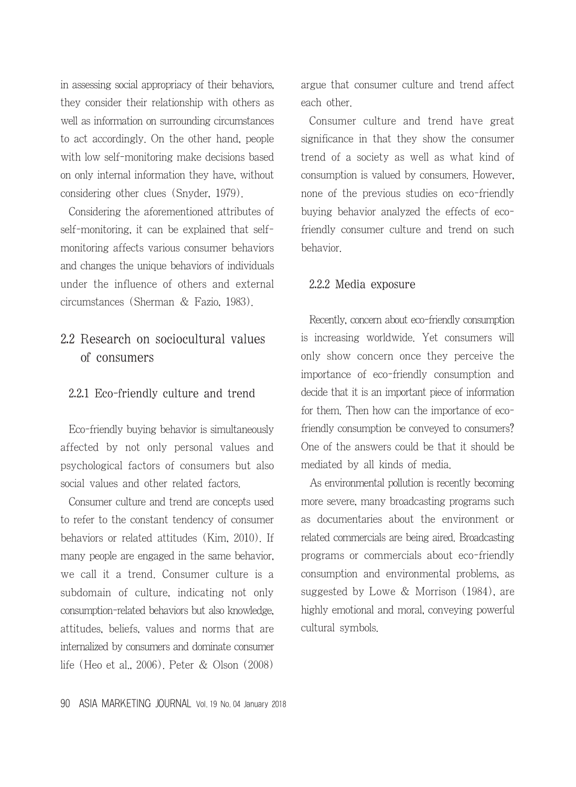in assessing social appropriacy of their behaviors, they consider their relationship with others as well as information on surrounding circumstances to act accordingly. On the other hand, people with low self-monitoring make decisions based on only internal information they have, without considering other clues (Snyder, 1979).

Considering the aforementioned attributes of self-monitoring, it can be explained that selfmonitoring affects various consumer behaviors and changes the unique behaviors of individuals under the influence of others and external circumstances (Sherman & Fazio, 1983).

### 2.2 Research on sociocultural values of consumers

#### 2.2.1 Eco-friendly culture and trend

Eco-friendly buying behavior is simultaneously affected by not only personal values and psychological factors of consumers but also social values and other related factors.

Consumer culture and trend are concepts used to refer to the constant tendency of consumer behaviors or related attitudes (Kim, 2010). If many people are engaged in the same behavior, we call it a trend. Consumer culture is a subdomain of culture, indicating not only consumption-related behaviors but also knowledge, attitudes, beliefs, values and norms that are internalized by consumers and dominate consumer life (Heo et al., 2006). Peter & Olson (2008)

argue that consumer culture and trend affect each other.

Consumer culture and trend have great significance in that they show the consumer trend of a society as well as what kind of consumption is valued by consumers. However, none of the previous studies on eco-friendly buying behavior analyzed the effects of ecofriendly consumer culture and trend on such behavior.

#### 2.2.2 Media exposure

Recently, concern about eco-friendly consumption is increasing worldwide. Yet consumers will only show concern once they perceive the importance of eco-friendly consumption and decide that it is an important piece of information for them. Then how can the importance of ecofriendly consumption be conveyed to consumers? One of the answers could be that it should be mediated by all kinds of media.

As environmental pollution is recently becoming more severe, many broadcasting programs such as documentaries about the environment or related commercials are being aired. Broadcasting programs or commercials about eco-friendly consumption and environmental problems, as suggested by Lowe & Morrison (1984), are highly emotional and moral, conveying powerful cultural symbols.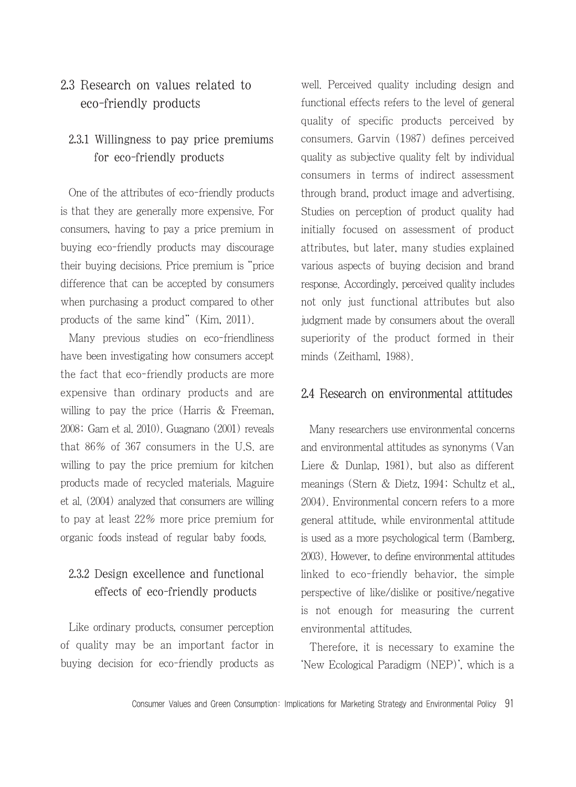### 2.3 Research on values related to eco-friendly products

### 2.3.1 Willingness to pay price premiums for eco-friendly products

One of the attributes of eco-friendly products is that they are generally more expensive. For consumers, having to pay a price premium in buying eco-friendly products may discourage their buying decisions. Price premium is "price difference that can be accepted by consumers when purchasing a product compared to other products of the same kind" (Kim, 2011).

Many previous studies on eco-friendliness have been investigating how consumers accept the fact that eco-friendly products are more expensive than ordinary products and are willing to pay the price (Harris & Freeman, 2008; Gam et al. 2010). Guagnano (2001) reveals that 86% of 367 consumers in the U.S. are willing to pay the price premium for kitchen products made of recycled materials. Maguire et al. (2004) analyzed that consumers are willing to pay at least 22% more price premium for organic foods instead of regular baby foods.

### 2.3.2 Design excellence and functional effects of eco-friendly products

Like ordinary products, consumer perception of quality may be an important factor in buying decision for eco-friendly products as well. Perceived quality including design and functional effects refers to the level of general quality of specific products perceived by consumers. Garvin (1987) defines perceived quality as subjective quality felt by individual consumers in terms of indirect assessment through brand, product image and advertising. Studies on perception of product quality had initially focused on assessment of product attributes, but later, many studies explained various aspects of buying decision and brand response. Accordingly, perceived quality includes not only just functional attributes but also judgment made by consumers about the overall superiority of the product formed in their minds (Zeithaml, 1988).

#### 2.4 Research on environmental attitudes

Many researchers use environmental concerns and environmental attitudes as synonyms (Van Liere & Dunlap, 1981), but also as different meanings (Stern & Dietz, 1994; Schultz et al., 2004). Environmental concern refers to a more general attitude, while environmental attitude is used as a more psychological term (Bamberg, 2003). However, to define environmental attitudes linked to eco-friendly behavior, the simple perspective of like/dislike or positive/negative is not enough for measuring the current environmental attitudes.

Therefore, it is necessary to examine the 'New Ecological Paradigm (NEP)', which is a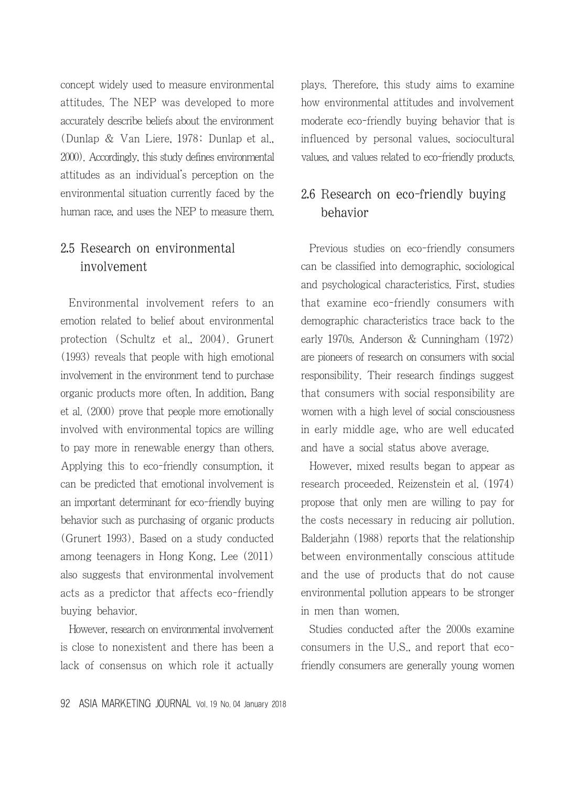concept widely used to measure environmental attitudes. The NEP was developed to more accurately describe beliefs about the environment (Dunlap & Van Liere, 1978; Dunlap et al., 2000). Accordingly, this study defines environmental attitudes as an individual's perception on the environmental situation currently faced by the human race, and uses the NEP to measure them.

### 2.5 Research on environmental involvement

Environmental involvement refers to an emotion related to belief about environmental protection (Schultz et al., 2004). Grunert (1993) reveals that people with high emotional involvement in the environment tend to purchase organic products more often. In addition, Bang et al. (2000) prove that people more emotionally involved with environmental topics are willing to pay more in renewable energy than others. Applying this to eco-friendly consumption, it can be predicted that emotional involvement is an important determinant for eco-friendly buying behavior such as purchasing of organic products (Grunert 1993). Based on a study conducted among teenagers in Hong Kong, Lee (2011) also suggests that environmental involvement acts as a predictor that affects eco-friendly buying behavior.

However, research on environmental involvement is close to nonexistent and there has been a lack of consensus on which role it actually plays. Therefore, this study aims to examine how environmental attitudes and involvement moderate eco-friendly buying behavior that is influenced by personal values, sociocultural values, and values related to eco-friendly products.

### 2.6 Research on eco-friendly buying behavior

Previous studies on eco-friendly consumers can be classified into demographic, sociological and psychological characteristics. First, studies that examine eco-friendly consumers with demographic characteristics trace back to the early 1970s. Anderson & Cunningham (1972) are pioneers of research on consumers with social responsibility. Their research findings suggest that consumers with social responsibility are women with a high level of social consciousness in early middle age, who are well educated and have a social status above average.

However, mixed results began to appear as research proceeded. Reizenstein et al. (1974) propose that only men are willing to pay for the costs necessary in reducing air pollution. Balderjahn (1988) reports that the relationship between environmentally conscious attitude and the use of products that do not cause environmental pollution appears to be stronger in men than women.

Studies conducted after the 2000s examine consumers in the U.S., and report that ecofriendly consumers are generally young women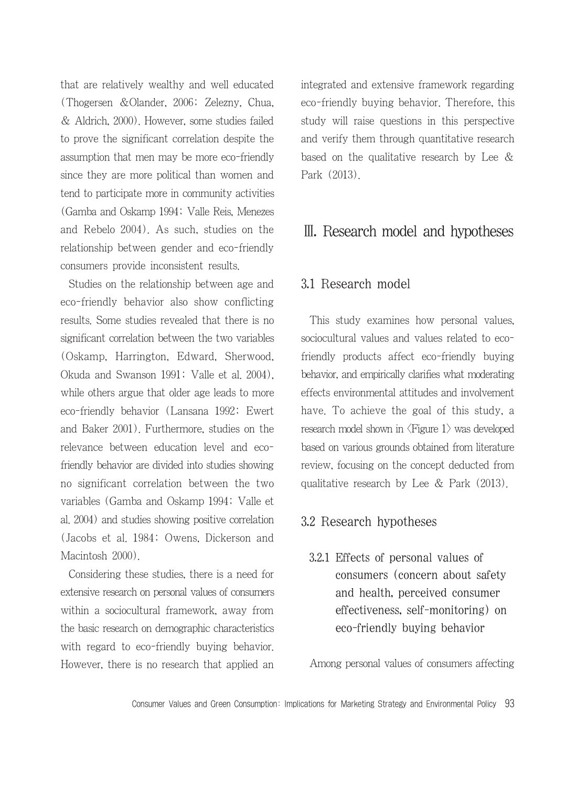that are relatively wealthy and well educated (Thogersen &Olander, 2006; Zelezny, Chua, & Aldrich, 2000). However, some studies failed to prove the significant correlation despite the assumption that men may be more eco-friendly since they are more political than women and tend to participate more in community activities (Gamba and Oskamp 1994; Valle Reis, Menezes and Rebelo 2004). As such, studies on the relationship between gender and eco-friendly consumers provide inconsistent results.

Studies on the relationship between age and eco-friendly behavior also show conflicting results. Some studies revealed that there is no significant correlation between the two variables (Oskamp, Harrington, Edward, Sherwood, Okuda and Swanson 1991; Valle et al. 2004), while others argue that older age leads to more eco-friendly behavior (Lansana 1992; Ewert and Baker 2001). Furthermore, studies on the relevance between education level and ecofriendly behavior are divided into studies showing no significant correlation between the two variables (Gamba and Oskamp 1994; Valle et al. 2004) and studies showing positive correlation (Jacobs et al. 1984; Owens, Dickerson and Macintosh 2000).

Considering these studies, there is a need for extensive research on personal values of consumers within a sociocultural framework, away from the basic research on demographic characteristics with regard to eco-friendly buying behavior. However, there is no research that applied an integrated and extensive framework regarding eco-friendly buying behavior. Therefore, this study will raise questions in this perspective and verify them through quantitative research based on the qualitative research by Lee & Park (2013).

### Ⅲ. Research model and hypotheses

#### 3.1 Research model

This study examines how personal values, sociocultural values and values related to ecofriendly products affect eco-friendly buying behavior, and empirically clarifies what moderating effects environmental attitudes and involvement have. To achieve the goal of this study, a research model shown in <Figure 1> was developed based on various grounds obtained from literature review, focusing on the concept deducted from qualitative research by Lee & Park (2013).

#### 3.2 Research hypotheses

3.2.1 Effects of personal values of consumers (concern about safety and health, perceived consumer effectiveness, self-monitoring) on eco-friendly buying behavior

Among personal values of consumers affecting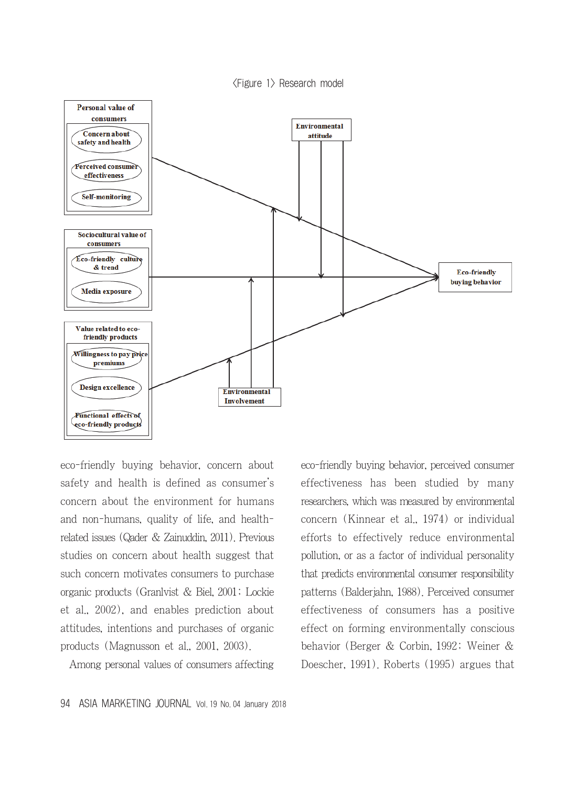<Figure 1> Research model



eco-friendly buying behavior, concern about safety and health is defined as consumer's concern about the environment for humans and non-humans, quality of life, and healthrelated issues (Qader & Zainuddin, 2011). Previous studies on concern about health suggest that such concern motivates consumers to purchase organic products (Granlvist & Biel, 2001; Lockie et al., 2002), and enables prediction about attitudes, intentions and purchases of organic products (Magnusson et al., 2001, 2003).

Among personal values of consumers affecting

eco-friendly buying behavior, perceived consumer effectiveness has been studied by many researchers, which was measured by environmental concern (Kinnear et al., 1974) or individual efforts to effectively reduce environmental pollution, or as a factor of individual personality that predicts environmental consumer responsibility patterns (Balderjahn, 1988). Perceived consumer effectiveness of consumers has a positive effect on forming environmentally conscious behavior (Berger & Corbin, 1992; Weiner & Doescher, 1991). Roberts (1995) argues that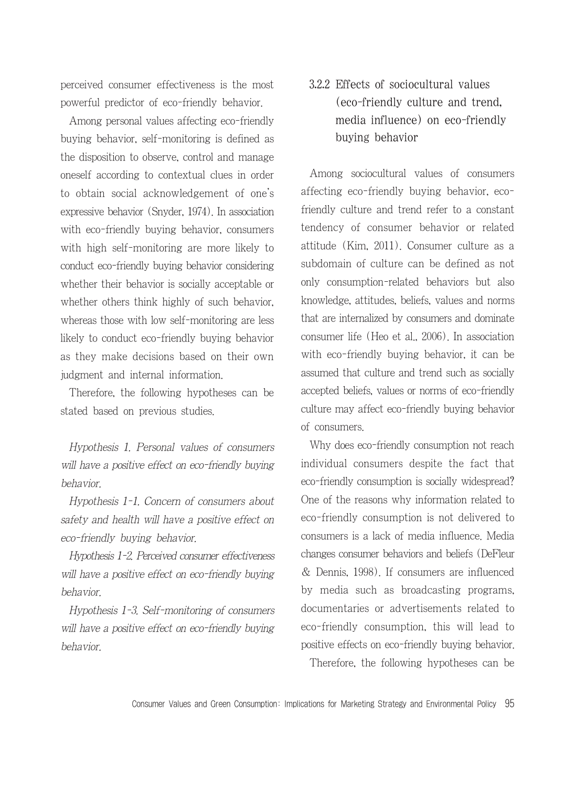perceived consumer effectiveness is the most powerful predictor of eco-friendly behavior.

Among personal values affecting eco-friendly buying behavior, self-monitoring is defined as the disposition to observe, control and manage oneself according to contextual clues in order to obtain social acknowledgement of one's expressive behavior (Snyder, 1974). In association with eco-friendly buying behavior, consumers with high self-monitoring are more likely to conduct eco-friendly buying behavior considering whether their behavior is socially acceptable or whether others think highly of such behavior, whereas those with low self-monitoring are less likely to conduct eco-friendly buying behavior as they make decisions based on their own judgment and internal information.

Therefore, the following hypotheses can be stated based on previous studies.

Hypothesis 1. Personal values of consumers will have a positive effect on eco-friendly buying behavior.

Hypothesis 1-1. Concern of consumers about safety and health will have a positive effect on eco-friendly buying behavior.

Hypothesis 1-2. Perceived consumer effectiveness will have a positive effect on eco-friendly buying behavior.

Hypothesis 1-3. Self-monitoring of consumers will have a positive effect on eco-friendly buying behavior.

### 3.2.2 Effects of sociocultural values (eco-friendly culture and trend, media influence) on eco-friendly buying behavior

Among sociocultural values of consumers affecting eco-friendly buying behavior, ecofriendly culture and trend refer to a constant tendency of consumer behavior or related attitude (Kim, 2011). Consumer culture as a subdomain of culture can be defined as not only consumption-related behaviors but also knowledge, attitudes, beliefs, values and norms that are internalized by consumers and dominate consumer life (Heo et al., 2006). In association with eco-friendly buying behavior, it can be assumed that culture and trend such as socially accepted beliefs, values or norms of eco-friendly culture may affect eco-friendly buying behavior of consumers.

Why does eco-friendly consumption not reach individual consumers despite the fact that eco-friendly consumption is socially widespread? One of the reasons why information related to eco-friendly consumption is not delivered to consumers is a lack of media influence. Media changes consumer behaviors and beliefs (DeFleur & Dennis, 1998). If consumers are influenced by media such as broadcasting programs, documentaries or advertisements related to eco-friendly consumption, this will lead to positive effects on eco-friendly buying behavior. Therefore, the following hypotheses can be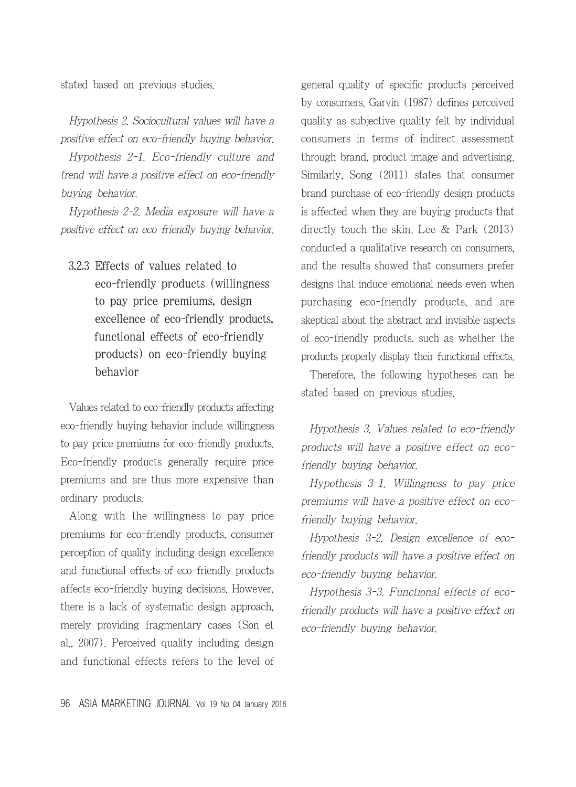stated based on previous studies.

Hypothesis 2. Sociocultural values will have a positive effect on eco-friendly buying behavior. Hypothesis 2-1. Eco-friendly culture and trend will have a positive effect on eco-friendly buying behavior.

Hypothesis 2-2. Media exposure will have a positive effect on eco-friendly buying behavior.

3.2.3 Effects of values related to eco-friendly products (willingness to pay price premiums, design excellence of eco-friendly products, functional effects of eco-friendly products) on eco-friendly buying behavior

Values related to eco-friendly products affecting eco-friendly buying behavior include willingness to pay price premiums for eco-friendly products. Eco-friendly products generally require price premiums and are thus more expensive than ordinary products.

Along with the willingness to pay price premiums for eco-friendly products, consumer perception of quality including design excellence and functional effects of eco-friendly products affects eco-friendly buying decisions. However, there is a lack of systematic design approach, merely providing fragmentary cases (Son et al., 2007). Perceived quality including design and functional effects refers to the level of general quality of specific products perceived by consumers. Garvin (1987) defines perceived quality as subjective quality felt by individual consumers in terms of indirect assessment through brand, product image and advertising. Similarly, Song (2011) states that consumer brand purchase of eco-friendly design products is affected when they are buying products that directly touch the skin. Lee & Park (2013) conducted a qualitative research on consumers, and the results showed that consumers prefer designs that induce emotional needs even when purchasing eco-friendly products, and are skeptical about the abstract and invisible aspects of eco-friendly products, such as whether the products properly display their functional effects.

Therefore, the following hypotheses can be stated based on previous studies.

Hypothesis 3. Values related to eco-friendly products will have a positive effect on ecofriendly buying behavior.

Hypothesis 3-1. Willingness to pay price premiums will have a positive effect on ecofriendly buying behavior.

Hypothesis 3-2. Design excellence of ecofriendly products will have a positive effect on eco-friendly buying behavior.

Hypothesis 3-3. Functional effects of ecofriendly products will have a positive effect on eco-friendly buying behavior.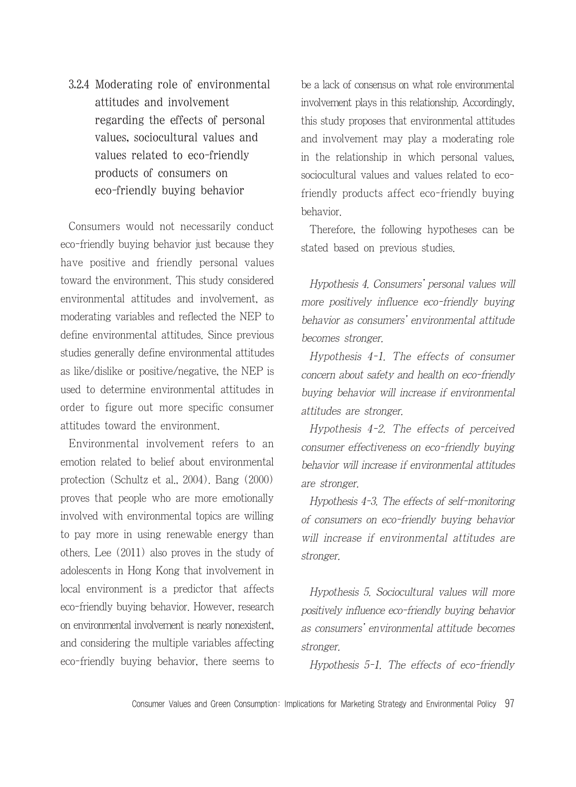3.2.4 Moderating role of environmental attitudes and involvement regarding the effects of personal values, sociocultural values and values related to eco-friendly products of consumers on eco-friendly buying behavior

Consumers would not necessarily conduct eco-friendly buying behavior just because they have positive and friendly personal values toward the environment. This study considered environmental attitudes and involvement, as moderating variables and reflected the NEP to define environmental attitudes. Since previous studies generally define environmental attitudes as like/dislike or positive/negative, the NEP is used to determine environmental attitudes in order to figure out more specific consumer attitudes toward the environment.

Environmental involvement refers to an emotion related to belief about environmental protection (Schultz et al., 2004). Bang (2000) proves that people who are more emotionally involved with environmental topics are willing to pay more in using renewable energy than others. Lee (2011) also proves in the study of adolescents in Hong Kong that involvement in local environment is a predictor that affects eco-friendly buying behavior. However, research on environmental involvement is nearly nonexistent, and considering the multiple variables affecting eco-friendly buying behavior, there seems to be a lack of consensus on what role environmental involvement plays in this relationship. Accordingly, this study proposes that environmental attitudes and involvement may play a moderating role in the relationship in which personal values, sociocultural values and values related to ecofriendly products affect eco-friendly buying behavior.

Therefore, the following hypotheses can be stated based on previous studies.

Hypothesis 4. Consumers' personal values will more positively influence eco-friendly buying behavior as consumers' environmental attitude becomes stronger.

Hypothesis 4-1. The effects of consumer concern about safety and health on eco-friendly buying behavior will increase if environmental attitudes are stronger.

Hypothesis 4-2. The effects of perceived consumer effectiveness on eco-friendly buying behavior will increase if environmental attitudes are stronger.

Hypothesis 4-3. The effects of self-monitoring of consumers on eco-friendly buying behavior will increase if environmental attitudes are stronger.

Hypothesis 5. Sociocultural values will more positively influence eco-friendly buying behavior as consumers' environmental attitude becomes stronger.

Hypothesis 5-1. The effects of eco-friendly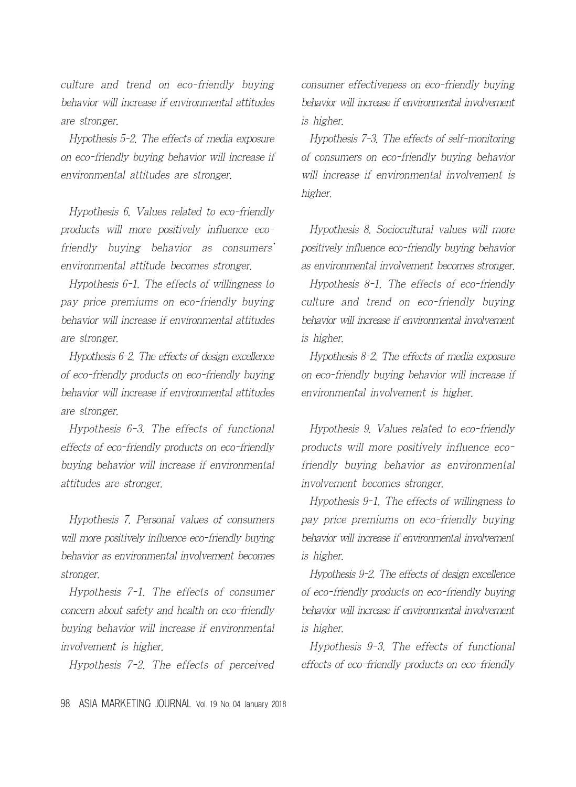culture and trend on eco-friendly buying behavior will increase if environmental attitudes are stronger.

Hypothesis 5-2. The effects of media exposure on eco-friendly buying behavior will increase if environmental attitudes are stronger.

Hypothesis 6. Values related to eco-friendly products will more positively influence ecofriendly buying behavior as consumers' environmental attitude becomes stronger.

Hypothesis 6-1. The effects of willingness to pay price premiums on eco-friendly buying behavior will increase if environmental attitudes are stronger.

Hypothesis 6-2. The effects of design excellence of eco-friendly products on eco-friendly buying behavior will increase if environmental attitudes are stronger.

Hypothesis 6-3. The effects of functional effects of eco-friendly products on eco-friendly buying behavior will increase if environmental attitudes are stronger.

Hypothesis 7. Personal values of consumers will more positively influence eco-friendly buying behavior as environmental involvement becomes stronger.

Hypothesis 7-1. The effects of consumer concern about safety and health on eco-friendly buying behavior will increase if environmental involvement is higher.

Hypothesis 7-2. The effects of perceived

consumer effectiveness on eco-friendly buying behavior will increase if environmental involvement is higher.

Hypothesis 7-3. The effects of self-monitoring of consumers on eco-friendly buying behavior will increase if environmental involvement is higher.

Hypothesis 8. Sociocultural values will more positively influence eco-friendly buying behavior as environmental involvement becomes stronger.

Hypothesis 8-1. The effects of eco-friendly culture and trend on eco-friendly buying behavior will increase if environmental involvement is higher.

Hypothesis 8-2. The effects of media exposure on eco-friendly buying behavior will increase if environmental involvement is higher.

Hypothesis 9. Values related to eco-friendly products will more positively influence ecofriendly buying behavior as environmental involvement becomes stronger.

Hypothesis 9-1. The effects of willingness to pay price premiums on eco-friendly buying behavior will increase if environmental involvement is higher.

Hypothesis 9-2. The effects of design excellence of eco-friendly products on eco-friendly buying behavior will increase if environmental involvement is higher.

Hypothesis 9-3. The effects of functional effects of eco-friendly products on eco-friendly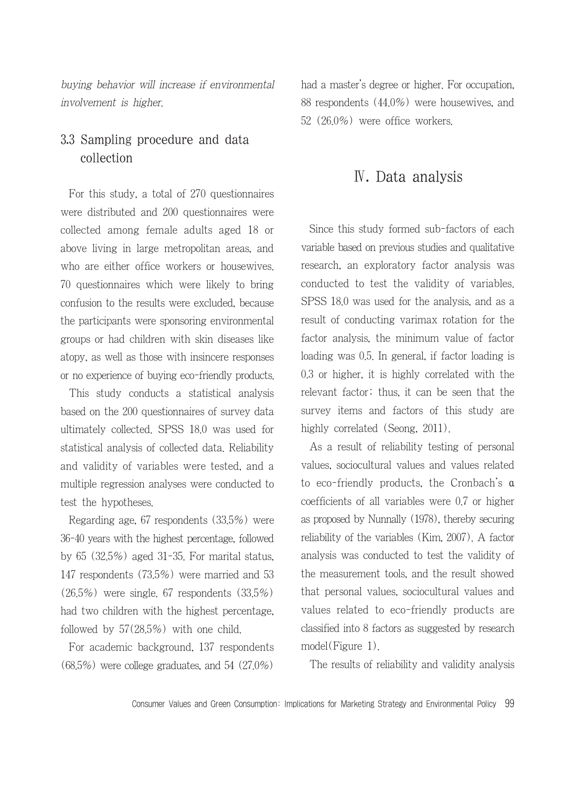buying behavior will increase if environmental involvement is higher.

### 3.3 Sampling procedure and data collection

For this study, a total of 270 questionnaires were distributed and 200 questionnaires were collected among female adults aged 18 or above living in large metropolitan areas, and who are either office workers or housewives. 70 questionnaires which were likely to bring confusion to the results were excluded, because the participants were sponsoring environmental groups or had children with skin diseases like atopy, as well as those with insincere responses or no experience of buying eco-friendly products.

This study conducts a statistical analysis based on the 200 questionnaires of survey data ultimately collected. SPSS 18.0 was used for statistical analysis of collected data. Reliability and validity of variables were tested, and a multiple regression analyses were conducted to test the hypotheses.

Regarding age, 67 respondents (33.5%) were 36-40 years with the highest percentage, followed by 65 (32.5%) aged 31-35. For marital status, 147 respondents (73.5%) were married and 53 (26.5%) were single. 67 respondents (33.5%) had two children with the highest percentage, followed by 57(28.5%) with one child.

For academic background, 137 respondents (68.5%) were college graduates, and 54 (27.0%)

had a master's degree or higher. For occupation, 88 respondents (44.0%) were housewives, and 52 (26.0%) were office workers.

### Ⅳ. Data analysis

Since this study formed sub-factors of each variable based on previous studies and qualitative research, an exploratory factor analysis was conducted to test the validity of variables. SPSS 18.0 was used for the analysis, and as a result of conducting varimax rotation for the factor analysis, the minimum value of factor loading was 0.5. In general, if factor loading is 0.3 or higher, it is highly correlated with the relevant factor; thus, it can be seen that the survey items and factors of this study are highly correlated (Seong, 2011).

As a result of reliability testing of personal values, sociocultural values and values related to eco-friendly products, the Cronbach's α coefficients of all variables were 0.7 or higher as proposed by Nunnally (1978), thereby securing reliability of the variables (Kim, 2007). A factor analysis was conducted to test the validity of the measurement tools, and the result showed that personal values, sociocultural values and values related to eco-friendly products are classified into 8 factors as suggested by research model(Figure 1).

The results of reliability and validity analysis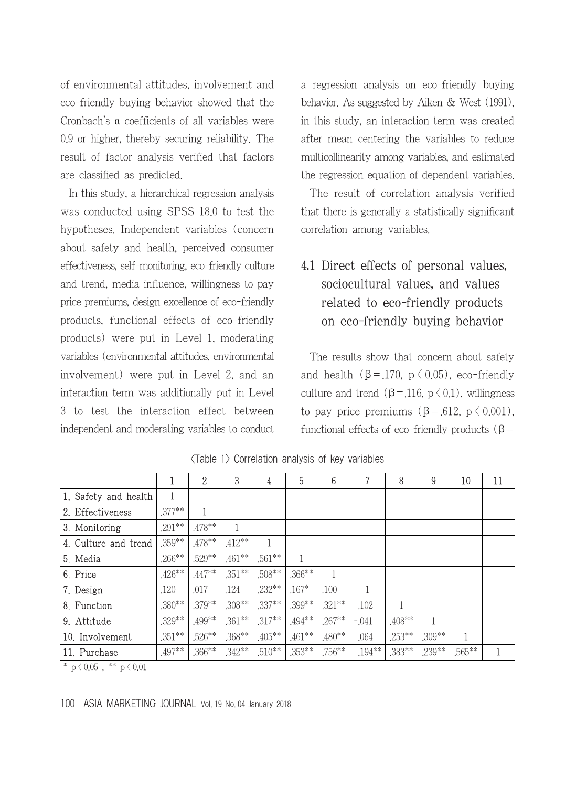of environmental attitudes, involvement and eco-friendly buying behavior showed that the Cronbach's α coefficients of all variables were 0.9 or higher, thereby securing reliability. The result of factor analysis verified that factors are classified as predicted.

In this study, a hierarchical regression analysis was conducted using SPSS 18.0 to test the hypotheses. Independent variables (concern about safety and health, perceived consumer effectiveness, self-monitoring, eco-friendly culture and trend, media influence, willingness to pay price premiums, design excellence of eco-friendly products, functional effects of eco-friendly products) were put in Level 1, moderating variables (environmental attitudes, environmental involvement) were put in Level 2, and an interaction term was additionally put in Level 3 to test the interaction effect between independent and moderating variables to conduct a regression analysis on eco-friendly buying behavior. As suggested by Aiken & West (1991), in this study, an interaction term was created after mean centering the variables to reduce multicollinearity among variables, and estimated the regression equation of dependent variables.

The result of correlation analysis verified that there is generally a statistically significant correlation among variables.

### 4.1 Direct effects of personal values, sociocultural values, and values related to eco-friendly products on eco-friendly buying behavior

The results show that concern about safety and health ( $\beta$ =.170,  $p \langle 0.05$ ), eco-friendly culture and trend ( $\beta$ =.116, p  $\langle 0.1 \rangle$ , willingness to pay price premiums  $(\beta = .612, p \le 0.001)$ , functional effects of eco-friendly products (β=

|                      | 1         | $\boldsymbol{2}$ | 3         | 4         | 5         | 6         | 7         | 8         | 9            | 10     | 11 |
|----------------------|-----------|------------------|-----------|-----------|-----------|-----------|-----------|-----------|--------------|--------|----|
| 1. Safety and health |           |                  |           |           |           |           |           |           |              |        |    |
| 2. Effectiveness     | $.377**$  |                  |           |           |           |           |           |           |              |        |    |
| 3. Monitoring        | $.291**$  | .478**           |           |           |           |           |           |           |              |        |    |
| 4. Culture and trend | .359**    | .478**           | $.412**$  | 1         |           |           |           |           |              |        |    |
| 5. Media             | $.266***$ | .529**           | $.461***$ | $.561***$ |           |           |           |           |              |        |    |
| 6. Price             | $.426**$  | $.447**$         | $.351***$ | .508**    | $.366***$ |           |           |           |              |        |    |
| 7. Design            | .120      | .017             | .124      | $.232***$ | $.167*$   | .100      | 1         |           |              |        |    |
| 8. Function          | $.380**$  | .379**           | $.308**$  | $.337**$  | .399**    | $.321**$  | .102      |           |              |        |    |
| 9. Attitude          | .329**    | .499**           | $.361***$ | $.317**$  | $.494**$  | $.267***$ | $-.041$   | $.408**$  | $\mathbf{1}$ |        |    |
| 10. Involvement      | $.351***$ | .526**           | .368**    | $.405***$ | $.461***$ | $.480**$  | .064      | $.253***$ | $.309**$     |        |    |
| 11. Purchase         | .497**    | $0.366***$       | $.342**$  | $.510**$  | $.353***$ | $.756***$ | $.194***$ | .383**    | .239**       | .565** |    |

<Table 1> Correlation analysis of key variables

\*  $p \, \langle \, 0.05 \, , \, * \, * \, p \, \langle \, 0.01 \,$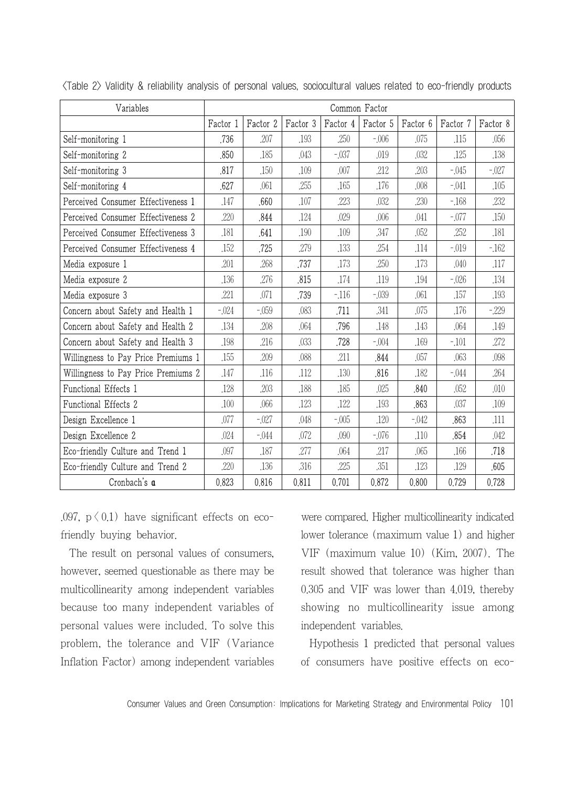| Variables                           | Common Factor |          |          |          |          |          |          |          |
|-------------------------------------|---------------|----------|----------|----------|----------|----------|----------|----------|
|                                     | Factor 1      | Factor 2 | Factor 3 | Factor 4 | Factor 5 | Factor 6 | Factor 7 | Factor 8 |
| Self-monitoring 1                   | .736          | .207     | .193     | .250     | $-0.06$  | .075     | .115     | .056     |
| Self-monitoring 2                   | ,850          | .185     | .043     | $-0.37$  | .019     | .032     | .125     | .138     |
| Self-monitoring 3                   | ,817          | ,150     | .109     | .007     | .212     | .203     | $-0.45$  | $-027$   |
| Self-monitoring 4                   | .627          | .061     | .255     | .165     | .176     | .008     | $-.041$  | .105     |
| Perceived Consumer Effectiveness 1  | .147          | .660     | .107     | .223     | .032     | .230     | $-168$   | .232     |
| Perceived Consumer Effectiveness 2  | .220          | .844     | .124     | .029     | .006     | .041     | $-.077$  | .150     |
| Perceived Consumer Effectiveness 3  | .181          | .641     | .190     | .109     | .347     | .052     | .252     | .181     |
| Perceived Consumer Effectiveness 4  | .152          | .725     | .279     | .133     | .254     | .114     | $-019$   | $-162$   |
| Media exposure 1                    | .201          | .268     | .737     | .173     | .250     | .173     | .040     | .117     |
| Media exposure 2                    | .136          | .276     | .815     | .174     | .119     | .194     | $-0.026$ | .134     |
| Media exposure 3                    | .221          | .071     | .739     | $-116$   | $-.039$  | .061     | .157     | .193     |
| Concern about Safety and Health 1   | $-024$        | $-0.59$  | .083     | .711     | .341     | .075     | .176     | $-229$   |
| Concern about Safety and Health 2   | .134          | .208     | .064     | .796     | .148     | .143     | .064     | .149     |
| Concern about Safety and Health 3   | .198          | .216     | .033     | .728     | $-0.04$  | .169     | $-101$   | ,272     |
| Willingness to Pay Price Premiums 1 | .155          | .209     | .088     | .211     | .844     | .057     | .063     | .098     |
| Willingness to Pay Price Premiums 2 | .147          | .116     | .112     | .130     | .816     | .182     | $-0.44$  | .264     |
| Functional Effects 1                | .128          | .203     | .188     | .185     | .025     | .840     | .052     | .010     |
| <b>Functional Effects 2</b>         | .100          | .066     | .123     | .122     | .193     | .863     | .037     | .109     |
| Design Excellence 1                 | .077          | $-027$   | .048     | $-0.05$  | .120     | $-042$   | .863     | .111     |
| Design Excellence 2                 | .024          | $-0.044$ | .072     | .090     | $-.076$  | .110     | .854     | .042     |
| Eco-friendly Culture and Trend 1    | .097          | .187     | ,277     | .064     | .217     | .065     | .166     | .718     |
| Eco-friendly Culture and Trend 2    | .220          | .136     | .316     | .225     | ,351     | .123     | .129     | .605     |
| Cronbach's a                        | 0,823         | 0,816    | 0.811    | 0,701    | 0.872    | 0,800    | 0,729    | 0,728    |

<Table 2> Validity & reliability analysis of personal values, sociocultural values related to eco-friendly products

.097,  $p \leq 0.1$ ) have significant effects on ecofriendly buying behavior.

The result on personal values of consumers, however, seemed questionable as there may be multicollinearity among independent variables because too many independent variables of personal values were included. To solve this problem, the tolerance and VIF (Variance Inflation Factor) among independent variables

were compared. Higher multicollinearity indicated lower tolerance (maximum value 1) and higher VIF (maximum value 10) (Kim, 2007). The result showed that tolerance was higher than 0.305 and VIF was lower than 4.019, thereby showing no multicollinearity issue among independent variables.

Hypothesis 1 predicted that personal values of consumers have positive effects on eco-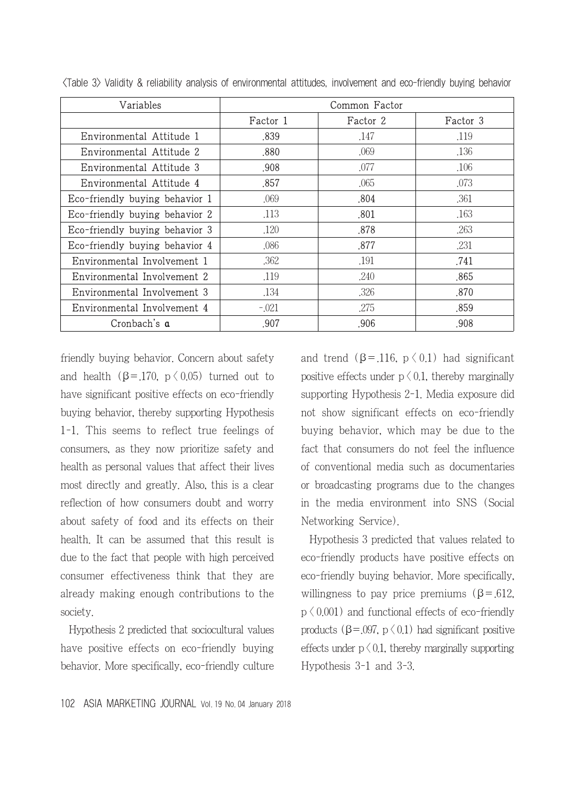| Variables                      | Common Factor |          |          |  |  |  |  |
|--------------------------------|---------------|----------|----------|--|--|--|--|
|                                | Factor 1      | Factor 2 | Factor 3 |  |  |  |  |
| Environmental Attitude 1       | .839          | .147     | .119     |  |  |  |  |
| Environmental Attitude 2       | .880          | .069     | .136     |  |  |  |  |
| Environmental Attitude 3       | .908          | .077     | .106     |  |  |  |  |
| Environmental Attitude 4       | .857          | .065     | .073     |  |  |  |  |
| Eco-friendly buying behavior 1 | .069          | .804     | .361     |  |  |  |  |
| Eco-friendly buying behavior 2 | .113          | .801     | .163     |  |  |  |  |
| Eco-friendly buying behavior 3 | .120          | .878     | .263     |  |  |  |  |
| Eco-friendly buying behavior 4 | .086          | .877     | .231     |  |  |  |  |
| Environmental Involvement 1    | .362          | .191     | .741     |  |  |  |  |
| Environmental Involvement 2    | .119          | .240     | .865     |  |  |  |  |
| Environmental Involvement 3    | .134          | .326     | .870     |  |  |  |  |
| Environmental Involvement 4    | $-.021$       | .275     | .859     |  |  |  |  |
| Cronbach's a                   | .907          | .906     | .908     |  |  |  |  |

<Table 3> Validity & reliability analysis of environmental attitudes, involvement and eco-friendly buying behavior

friendly buying behavior. Concern about safety and health  $(\beta = 170, p \le 0.05)$  turned out to have significant positive effects on eco-friendly buying behavior, thereby supporting Hypothesis 1-1. This seems to reflect true feelings of consumers, as they now prioritize safety and health as personal values that affect their lives most directly and greatly. Also, this is a clear reflection of how consumers doubt and worry about safety of food and its effects on their health. It can be assumed that this result is due to the fact that people with high perceived consumer effectiveness think that they are already making enough contributions to the society.

Hypothesis 2 predicted that sociocultural values have positive effects on eco-friendly buying behavior. More specifically, eco-friendly culture and trend ( $\beta$ =.116,  $p \langle 0.1 \rangle$  had significant positive effects under  $p \n\leq 0.1$ , thereby marginally supporting Hypothesis 2-1. Media exposure did not show significant effects on eco-friendly buying behavior, which may be due to the fact that consumers do not feel the influence of conventional media such as documentaries or broadcasting programs due to the changes in the media environment into SNS (Social Networking Service).

Hypothesis 3 predicted that values related to eco-friendly products have positive effects on eco-friendly buying behavior. More specifically, willingness to pay price premiums  $(\beta = .612)$ ,  $p \n\leq 0.001$ ) and functional effects of eco-friendly products ( $β = .097$ ,  $p \langle 0.1$ ) had significant positive effects under  $p \n\leq 0.1$ , thereby marginally supporting Hypothesis 3-1 and 3-3.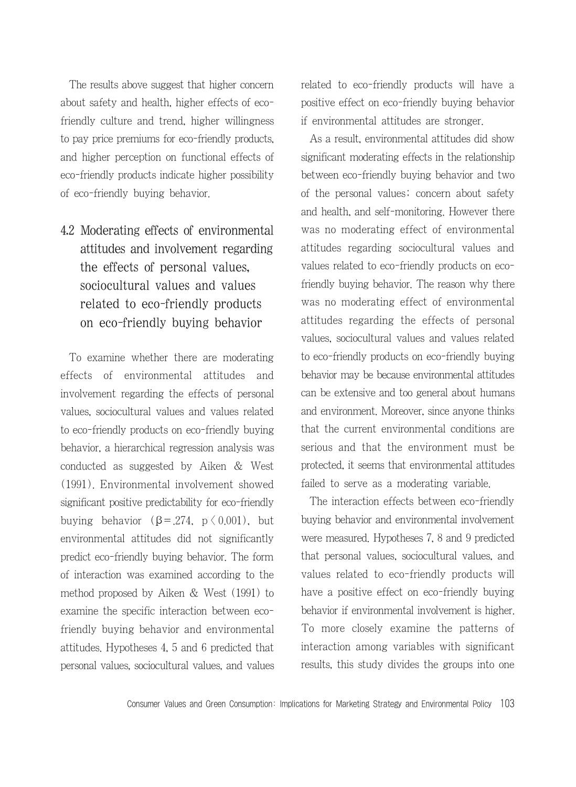The results above suggest that higher concern about safety and health, higher effects of ecofriendly culture and trend, higher willingness to pay price premiums for eco-friendly products, and higher perception on functional effects of eco-friendly products indicate higher possibility of eco-friendly buying behavior.

## 4.2 Moderating effects of environmental attitudes and involvement regarding the effects of personal values, sociocultural values and values related to eco-friendly products on eco-friendly buying behavior

To examine whether there are moderating effects of environmental attitudes and involvement regarding the effects of personal values, sociocultural values and values related to eco-friendly products on eco-friendly buying behavior, a hierarchical regression analysis was conducted as suggested by Aiken & West (1991). Environmental involvement showed significant positive predictability for eco-friendly buying behavior (β = 274, p  $(0.001)$ , but environmental attitudes did not significantly predict eco-friendly buying behavior. The form of interaction was examined according to the method proposed by Aiken & West (1991) to examine the specific interaction between ecofriendly buying behavior and environmental attitudes. Hypotheses 4, 5 and 6 predicted that personal values, sociocultural values, and values related to eco-friendly products will have a positive effect on eco-friendly buying behavior if environmental attitudes are stronger.

As a result, environmental attitudes did show significant moderating effects in the relationship between eco-friendly buying behavior and two of the personal values; concern about safety and health, and self-monitoring. However there was no moderating effect of environmental attitudes regarding sociocultural values and values related to eco-friendly products on ecofriendly buying behavior. The reason why there was no moderating effect of environmental attitudes regarding the effects of personal values, sociocultural values and values related to eco-friendly products on eco-friendly buying behavior may be because environmental attitudes can be extensive and too general about humans and environment. Moreover, since anyone thinks that the current environmental conditions are serious and that the environment must be protected, it seems that environmental attitudes failed to serve as a moderating variable.

The interaction effects between eco-friendly buying behavior and environmental involvement were measured. Hypotheses 7, 8 and 9 predicted that personal values, sociocultural values, and values related to eco-friendly products will have a positive effect on eco-friendly buying behavior if environmental involvement is higher. To more closely examine the patterns of interaction among variables with significant results, this study divides the groups into one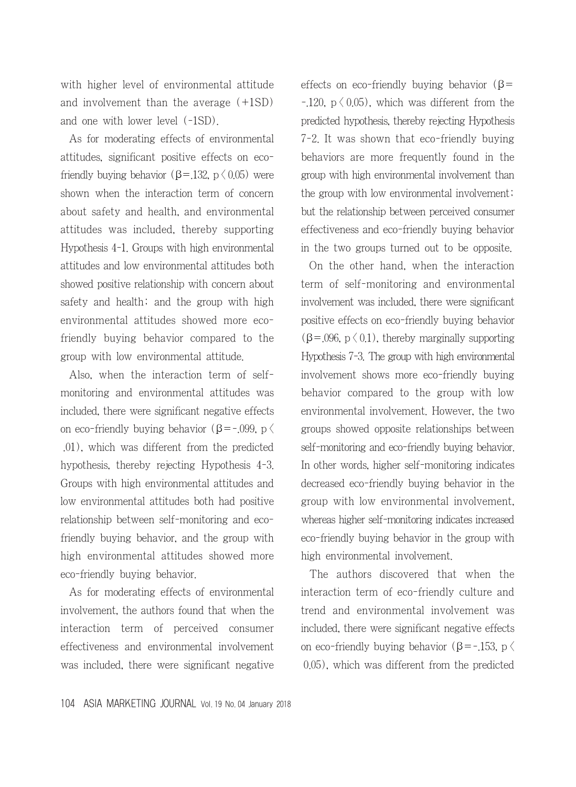with higher level of environmental attitude and involvement than the average (+1SD) and one with lower level (-1SD).

As for moderating effects of environmental attitudes, significant positive effects on ecofriendly buying behavior ( $\beta$ =.132, p  $\langle 0.05 \rangle$ ) were shown when the interaction term of concern about safety and health, and environmental attitudes was included, thereby supporting Hypothesis 4-1. Groups with high environmental attitudes and low environmental attitudes both showed positive relationship with concern about safety and health; and the group with high environmental attitudes showed more ecofriendly buying behavior compared to the group with low environmental attitude.

Also, when the interaction term of selfmonitoring and environmental attitudes was included, there were significant negative effects on eco-friendly buying behavior (β=-.099, p  $\langle$ .01), which was different from the predicted hypothesis, thereby rejecting Hypothesis 4-3. Groups with high environmental attitudes and low environmental attitudes both had positive relationship between self-monitoring and ecofriendly buying behavior, and the group with high environmental attitudes showed more eco-friendly buying behavior.

As for moderating effects of environmental involvement, the authors found that when the interaction term of perceived consumer effectiveness and environmental involvement was included, there were significant negative effects on eco-friendly buying behavior ( $\beta$ =  $-120$ , p  $\langle 0.05 \rangle$ , which was different from the predicted hypothesis, thereby rejecting Hypothesis 7-2. It was shown that eco-friendly buying behaviors are more frequently found in the group with high environmental involvement than the group with low environmental involvement; but the relationship between perceived consumer effectiveness and eco-friendly buying behavior in the two groups turned out to be opposite.

On the other hand, when the interaction term of self-monitoring and environmental involvement was included, there were significant positive effects on eco-friendly buying behavior  $(\beta = 0.096, p \leq 0.1)$ , thereby marginally supporting Hypothesis 7-3. The group with high environmental involvement shows more eco-friendly buying behavior compared to the group with low environmental involvement. However, the two groups showed opposite relationships between self-monitoring and eco-friendly buying behavior. In other words, higher self-monitoring indicates decreased eco-friendly buying behavior in the group with low environmental involvement, whereas higher self-monitoring indicates increased eco-friendly buying behavior in the group with high environmental involvement.

The authors discovered that when the interaction term of eco-friendly culture and trend and environmental involvement was included, there were significant negative effects on eco-friendly buying behavior (β=-.153, p  $\langle$ 0.05), which was different from the predicted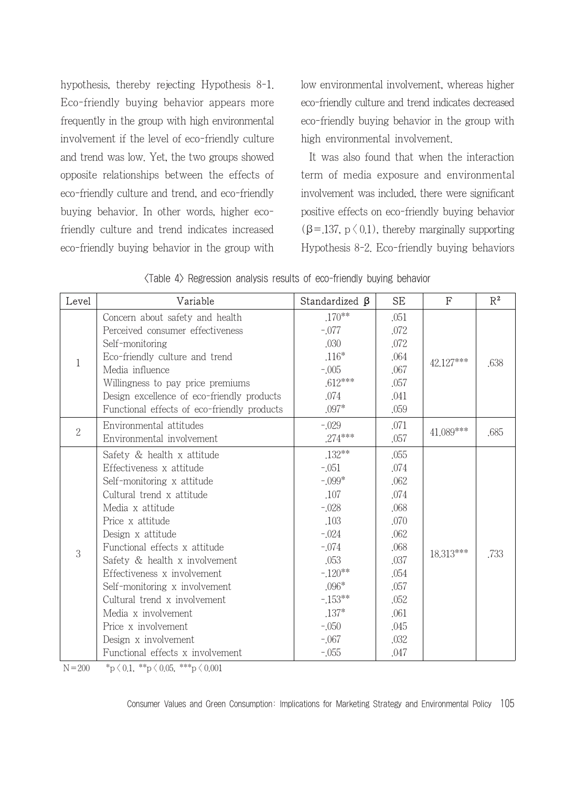hypothesis, thereby rejecting Hypothesis 8-1. Eco-friendly buying behavior appears more frequently in the group with high environmental involvement if the level of eco-friendly culture and trend was low. Yet, the two groups showed opposite relationships between the effects of eco-friendly culture and trend, and eco-friendly buying behavior. In other words, higher ecofriendly culture and trend indicates increased eco-friendly buying behavior in the group with

low environmental involvement, whereas higher eco-friendly culture and trend indicates decreased eco-friendly buying behavior in the group with high environmental involvement.

It was also found that when the interaction term of media exposure and environmental involvement was included, there were significant positive effects on eco-friendly buying behavior  $(\beta = 137, p \le 0.1)$ , thereby marginally supporting Hypothesis 8-2. Eco-friendly buying behaviors

| Level          | Variable                                    | Standardized $\beta$ | <b>SE</b> | F         | $\mathbb{R}^2$ |
|----------------|---------------------------------------------|----------------------|-----------|-----------|----------------|
|                | Concern about safety and health             | $.170***$            | .051      | 42.127*** |                |
|                | Perceived consumer effectiveness            | $-.077$              | .072      |           |                |
|                | Self-monitoring                             | .030                 | .072      |           |                |
| 1              | Eco-friendly culture and trend              | $.116*$              | .064      |           | .638           |
|                | Media influence                             | $-.005$              | .067      |           |                |
|                | Willingness to pay price premiums           | $.612***$            | .057      |           |                |
|                | Design excellence of eco-friendly products  | .074                 | .041      |           |                |
|                | Functional effects of eco-friendly products | $.097*$              | .059      |           |                |
| $\overline{2}$ | Environmental attitudes                     | $-.029$              | .071      | 41.089*** |                |
|                | Environmental involvement                   | $.274***$            | .057      |           | .685           |
|                | Safety & health x attitude                  | $.132***$            | .055      |           | .733           |
|                | Effectiveness x attitude                    | $-.051$              | .074      |           |                |
|                | Self-monitoring x attitude                  | $-0.099*$            | .062      |           |                |
|                | Cultural trend x attitude                   | .107                 | .074      |           |                |
|                | Media x attitude                            | $-.028$              | .068      | 18.313*** |                |
|                | Price x attitude                            | .103                 | .070      |           |                |
|                | Design x attitude                           | $-.024$              | .062      |           |                |
| 3              | Functional effects x attitude               | $-.074$              | .068      |           |                |
|                | Safety & health x involvement               | .053                 | .037      |           |                |
|                | Effectiveness x involvement                 | $-120**$             | .054      |           |                |
|                | Self-monitoring x involvement               | $.096*$              | .057      |           |                |
|                | Cultural trend x involvement                | $-153**$             | .052      |           |                |
|                | Media x involvement                         | $.137*$              | .061      |           |                |
|                | Price x involvement                         | $-.050$              | .045      |           |                |
|                | Design x involvement                        | $-.067$              | .032      |           |                |
|                | Functional effects x involvement            | $-.055$              | .047      |           |                |

|  |  |  |  |  | <table 4=""> Regression analysis results of eco-friendly buying behavior</table> |  |  |
|--|--|--|--|--|----------------------------------------------------------------------------------|--|--|
|--|--|--|--|--|----------------------------------------------------------------------------------|--|--|

N=200  $p \times p \times 0.1$ ,  $p \times p \times 0.05$ ,  $p \times p \times 0.001$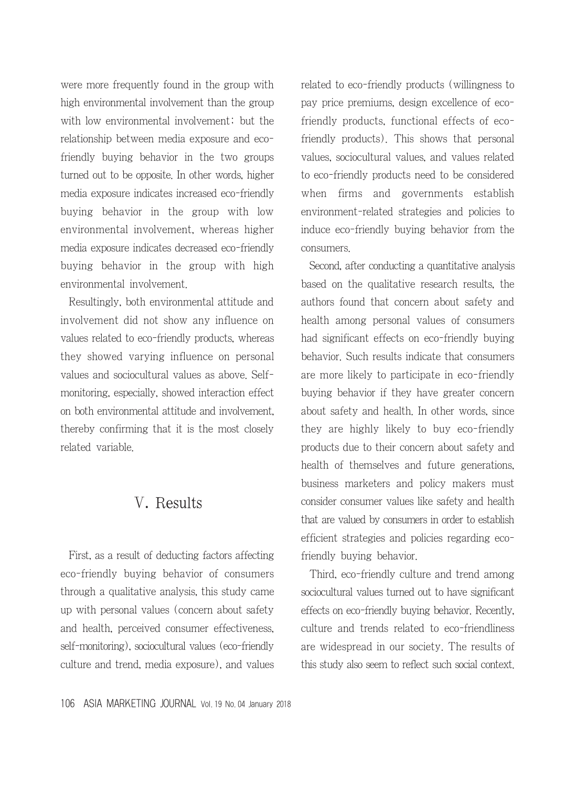were more frequently found in the group with high environmental involvement than the group with low environmental involvement; but the relationship between media exposure and ecofriendly buying behavior in the two groups turned out to be opposite. In other words, higher media exposure indicates increased eco-friendly buying behavior in the group with low environmental involvement, whereas higher media exposure indicates decreased eco-friendly buying behavior in the group with high environmental involvement.

Resultingly, both environmental attitude and involvement did not show any influence on values related to eco-friendly products, whereas they showed varying influence on personal values and sociocultural values as above. Selfmonitoring, especially, showed interaction effect on both environmental attitude and involvement, thereby confirming that it is the most closely related variable.

### Ⅴ. Results

First, as a result of deducting factors affecting eco-friendly buying behavior of consumers through a qualitative analysis, this study came up with personal values (concern about safety and health, perceived consumer effectiveness, self-monitoring), sociocultural values (eco-friendly culture and trend, media exposure), and values related to eco-friendly products (willingness to pay price premiums, design excellence of ecofriendly products, functional effects of ecofriendly products). This shows that personal values, sociocultural values, and values related to eco-friendly products need to be considered when firms and governments establish environment-related strategies and policies to induce eco-friendly buying behavior from the consumers.

Second, after conducting a quantitative analysis based on the qualitative research results, the authors found that concern about safety and health among personal values of consumers had significant effects on eco-friendly buying behavior. Such results indicate that consumers are more likely to participate in eco-friendly buying behavior if they have greater concern about safety and health. In other words, since they are highly likely to buy eco-friendly products due to their concern about safety and health of themselves and future generations, business marketers and policy makers must consider consumer values like safety and health that are valued by consumers in order to establish efficient strategies and policies regarding ecofriendly buying behavior.

Third, eco-friendly culture and trend among sociocultural values turned out to have significant effects on eco-friendly buying behavior. Recently, culture and trends related to eco-friendliness are widespread in our society. The results of this study also seem to reflect such social context.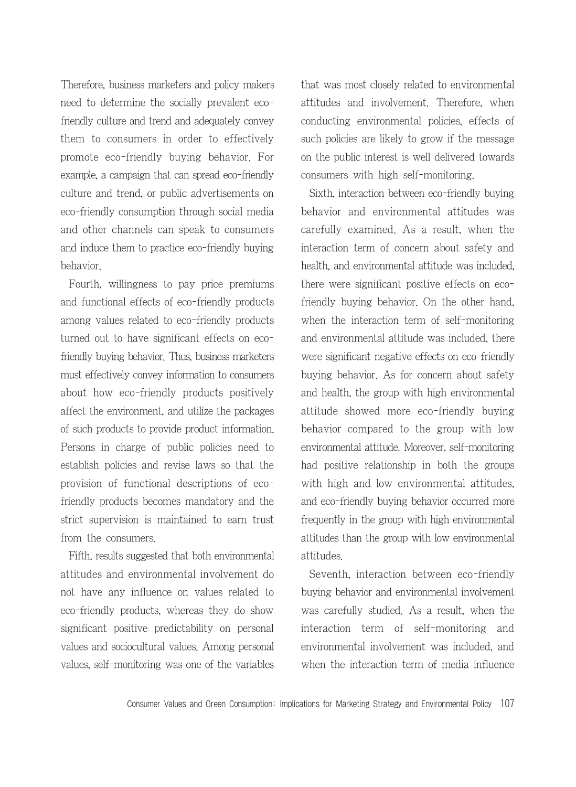Therefore, business marketers and policy makers need to determine the socially prevalent ecofriendly culture and trend and adequately convey them to consumers in order to effectively promote eco-friendly buying behavior. For example, a campaign that can spread eco-friendly culture and trend, or public advertisements on eco-friendly consumption through social media and other channels can speak to consumers and induce them to practice eco-friendly buying behavior.

Fourth, willingness to pay price premiums and functional effects of eco-friendly products among values related to eco-friendly products turned out to have significant effects on ecofriendly buying behavior. Thus, business marketers must effectively convey information to consumers about how eco-friendly products positively affect the environment, and utilize the packages of such products to provide product information. Persons in charge of public policies need to establish policies and revise laws so that the provision of functional descriptions of ecofriendly products becomes mandatory and the strict supervision is maintained to earn trust from the consumers.

Fifth, results suggested that both environmental attitudes and environmental involvement do not have any influence on values related to eco-friendly products, whereas they do show significant positive predictability on personal values and sociocultural values. Among personal values, self-monitoring was one of the variables that was most closely related to environmental attitudes and involvement. Therefore, when conducting environmental policies, effects of such policies are likely to grow if the message on the public interest is well delivered towards consumers with high self-monitoring.

Sixth, interaction between eco-friendly buying behavior and environmental attitudes was carefully examined. As a result, when the interaction term of concern about safety and health, and environmental attitude was included, there were significant positive effects on ecofriendly buying behavior. On the other hand, when the interaction term of self-monitoring and environmental attitude was included, there were significant negative effects on eco-friendly buying behavior. As for concern about safety and health, the group with high environmental attitude showed more eco-friendly buying behavior compared to the group with low environmental attitude. Moreover, self-monitoring had positive relationship in both the groups with high and low environmental attitudes, and eco-friendly buying behavior occurred more frequently in the group with high environmental attitudes than the group with low environmental attitudes.

Seventh, interaction between eco-friendly buying behavior and environmental involvement was carefully studied. As a result, when the interaction term of self-monitoring and environmental involvement was included, and when the interaction term of media influence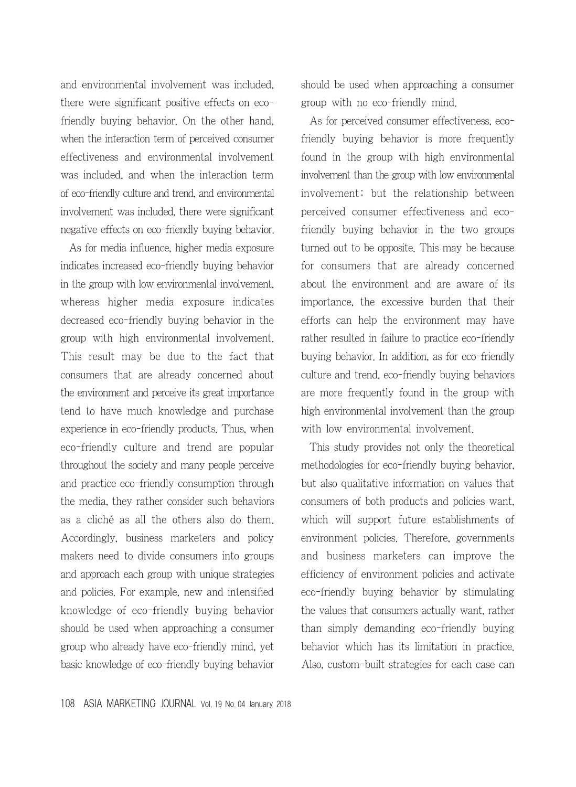and environmental involvement was included, there were significant positive effects on ecofriendly buying behavior. On the other hand, when the interaction term of perceived consumer effectiveness and environmental involvement was included, and when the interaction term of eco-friendly culture and trend, and environmental involvement was included, there were significant negative effects on eco-friendly buying behavior.

As for media influence, higher media exposure indicates increased eco-friendly buying behavior in the group with low environmental involvement, whereas higher media exposure indicates decreased eco-friendly buying behavior in the group with high environmental involvement. This result may be due to the fact that consumers that are already concerned about the environment and perceive its great importance tend to have much knowledge and purchase experience in eco-friendly products. Thus, when eco-friendly culture and trend are popular throughout the society and many people perceive and practice eco-friendly consumption through the media, they rather consider such behaviors as a cliché as all the others also do them. Accordingly, business marketers and policy makers need to divide consumers into groups and approach each group with unique strategies and policies. For example, new and intensified knowledge of eco-friendly buying behavior should be used when approaching a consumer group who already have eco-friendly mind, yet basic knowledge of eco-friendly buying behavior should be used when approaching a consumer group with no eco-friendly mind.

As for perceived consumer effectiveness, ecofriendly buying behavior is more frequently found in the group with high environmental involvement than the group with low environmental involvement; but the relationship between perceived consumer effectiveness and ecofriendly buying behavior in the two groups turned out to be opposite. This may be because for consumers that are already concerned about the environment and are aware of its importance, the excessive burden that their efforts can help the environment may have rather resulted in failure to practice eco-friendly buying behavior. In addition, as for eco-friendly culture and trend, eco-friendly buying behaviors are more frequently found in the group with high environmental involvement than the group with low environmental involvement.

This study provides not only the theoretical methodologies for eco-friendly buying behavior, but also qualitative information on values that consumers of both products and policies want, which will support future establishments of environment policies. Therefore, governments and business marketers can improve the efficiency of environment policies and activate eco-friendly buying behavior by stimulating the values that consumers actually want, rather than simply demanding eco-friendly buying behavior which has its limitation in practice. Also, custom-built strategies for each case can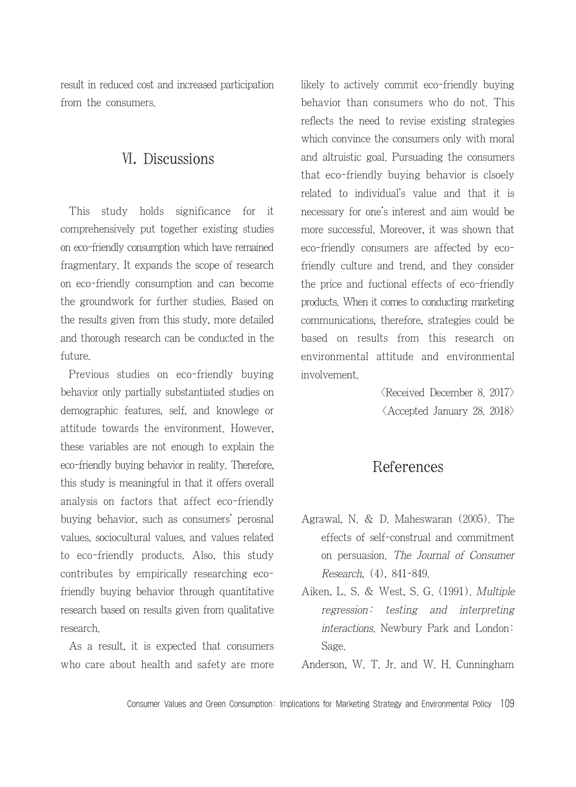result in reduced cost and increased participation from the consumers.

### Ⅵ. Discussions

This study holds significance for it comprehensively put together existing studies on eco-friendly consumption which have remained fragmentary. It expands the scope of research on eco-friendly consumption and can become the groundwork for further studies. Based on the results given from this study, more detailed and thorough research can be conducted in the future.

Previous studies on eco-friendly buying behavior only partially substantiated studies on demographic features, self, and knowlege or attitude towards the environment. However, these variables are not enough to explain the eco-friendly buying behavior in reality. Therefore, this study is meaningful in that it offers overall analysis on factors that affect eco-friendly buying behavior, such as consumers' perosnal values, sociocultural values, and values related to eco-friendly products. Also, this study contributes by empirically researching ecofriendly buying behavior through quantitative research based on results given from qualitative research.

As a result, it is expected that consumers who care about health and safety are more likely to actively commit eco-friendly buying behavior than consumers who do not. This reflects the need to revise existing strategies which convince the consumers only with moral and altruistic goal. Pursuading the consumers that eco-friendly buying behavior is clsoely related to individual's value and that it is necessary for one's interest and aim would be more successful. Moreover, it was shown that eco-friendly consumers are affected by ecofriendly culture and trend, and they consider the price and fuctional effects of eco-friendly products. When it comes to conducting marketing communications, therefore, strategies could be based on results from this research on environmental attitude and environmental involvement.

> $\langle$ Received December 8, 2017 $\rangle$  $\langle$  Accepted January 28, 2018 $\rangle$

### References

- Agrawal, N. & D. Maheswaran (2005). The effects of self-construal and commitment on persuasion. The Journal of Consumer Research, (4), 841-849.
- Aiken, L. S. & West, S. G. (1991). Multiple regression: testing and interpreting interactions. Newbury Park and London: Sage.

Anderson, W. T. Jr. and W. H. Cunningham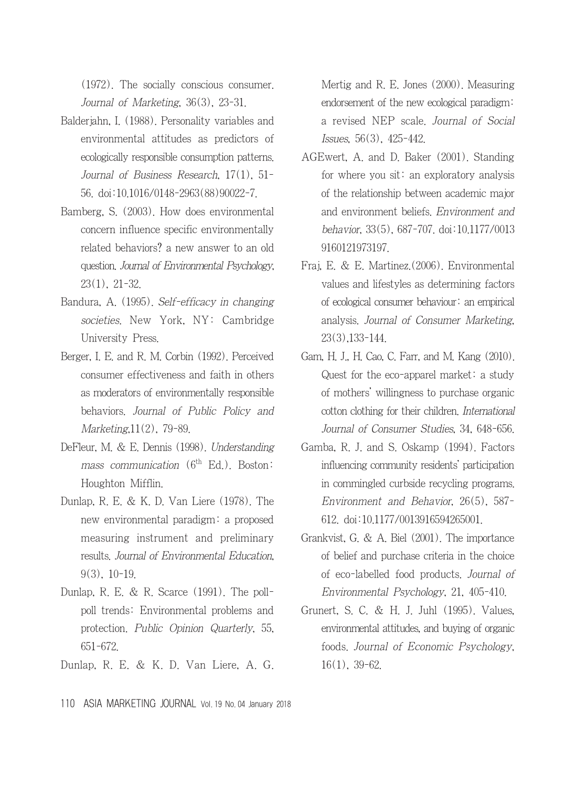(1972). The socially conscious consumer. Journal of Marketing, 36(3), 23-31.

- Balderjahn, I. (1988). Personality variables and environmental attitudes as predictors of ecologically responsible consumption patterns. Journal of Business Research, 17(1), 51- 56. doi:10.1016/0148-2963(88)90022-7.
- Bamberg, S. (2003). How does environmental concern influence specific environmentally related behaviors? a new answer to an old question. Journal of Environmental Psychology, 23(1), 21-32.
- Bandura, A. (1995). Self-efficacy in changing societies. New York, NY: Cambridge University Press.
- Berger, I. E. and R. M. Corbin (1992). Perceived consumer effectiveness and faith in others as moderators of environmentally responsible behaviors. Journal of Public Policy and Marketing,11(2), 79-89.
- DeFleur, M. & E. Dennis (1998). Understanding mass communication  $(6<sup>th</sup> Ed.)$ . Boston: Houghton Mifflin.
- Dunlap, R. E. & K. D. Van Liere (1978). The new environmental paradigm: a proposed measuring instrument and preliminary results. Journal of Environmental Education, 9(3), 10-19.
- Dunlap, R. E. & R. Scarce (1991). The pollpoll trends: Environmental problems and protection. Public Opinion Quarterly, 55, 651-672.
- Dunlap, R. E. & K. D. Van Liere, A. G.

Mertig and R. E. Jones (2000). Measuring endorsement of the new ecological paradigm: a revised NEP scale. Journal of Social Issues, 56(3), 425-442.

- AGEwert, A. and D. Baker (2001). Standing for where you sit: an exploratory analysis of the relationship between academic major and environment beliefs. Environment and behavior, 33(5), 687-707. doi:10.1177/0013 9160121973197.
- Fraj, E. & E. Martinez.(2006). Environmental values and lifestyles as determining factors of ecological consumer behaviour: an empirical analysis. Journal of Consumer Marketing, 23(3),133-144.
- Gam, H. J., H. Cao, C. Farr, and M. Kang (2010). Quest for the eco-apparel market: a study of mothers' willingness to purchase organic cotton clothing for their children. International Journal of Consumer Studies, 34, 648-656.
- Gamba, R. J. and S. Oskamp (1994). Factors influencing community residents' participation in commingled curbside recycling programs. Environment and Behavior, 26(5), 587- 612. doi:10.1177/0013916594265001.
- Grankvist, G. & A. Biel (2001). The importance of belief and purchase criteria in the choice of eco-labelled food products. Journal of Environmental Psychology, 21, 405-410.
- Grunert, S. C. & H. J. Juhl (1995). Values, environmental attitudes, and buying of organic foods. Journal of Economic Psychology, 16(1), 39-62.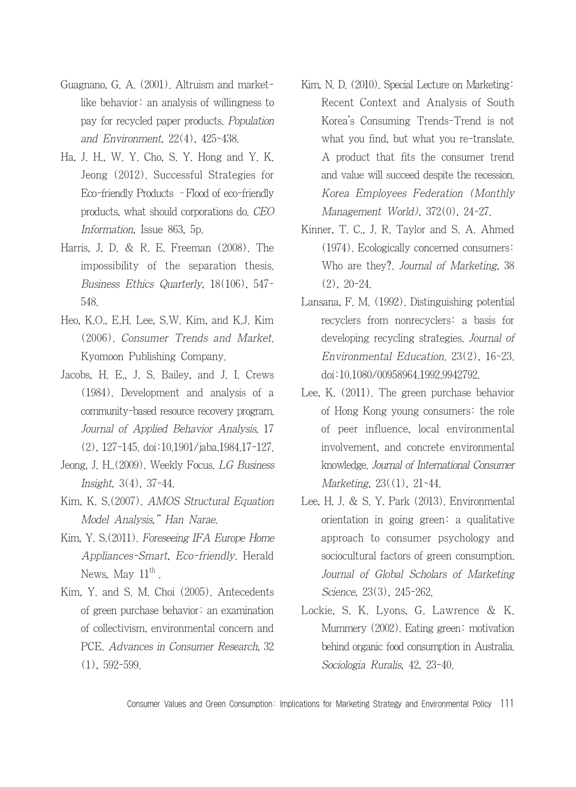- Guagnano, G. A. (2001). Altruism and marketlike behavior: an analysis of willingness to pay for recycled paper products. Population and Environment, 22(4), 425-438.
- Ha, J. H., W. Y. Cho, S. Y. Hong and Y. K. Jeong (2012). Successful Strategies for Eco-friendly Products –Flood of eco-friendly products, what should corporations do. CEO Information, Issue 863, 5p.
- Harris, J. D. & R. E. Freeman (2008). The impossibility of the separation thesis. Business Ethics Quarterly, 18(106), 547- 548.
- Heo, K.O., E.H. Lee, S.W. Kim, and K.J. Kim (2006). Consumer Trends and Market. Kyomoon Publishing Company.
- Jacobs, H. E., J. S. Bailey, and J. I. Crews (1984). Development and analysis of a community-based resource recovery program. Journal of Applied Behavior Analysis, 17 (2), 127-145. doi:10.1901/jaba.1984.17-127.
- Jeong, J. H..(2009). Weekly Focus. LG Business Insight, 3(4), 37-44.
- Kim, K. S.(2007). AMOS Structural Equation Model Analysis," Han Narae.
- Kim, Y. S.(2011). Foreseeing IFA Europe Home Appliances-Smart, Eco-friendly. Herald News, May  $11^{\text{th}}$ .
- Kim, Y. and S. M. Choi (2005). Antecedents of green purchase behavior: an examination of collectivism, environmental concern and PCE. Advances in Consumer Research, 32 (1), 592-599.
- Kim, N. D. (2010). Special Lecture on Marketing: Recent Context and Analysis of South Korea's Consuming Trends-Trend is not what you find, but what you re-translate. A product that fits the consumer trend and value will succeed despite the recession. Korea Employees Federation (Monthly Management World), 372(0), 24-27.
- Kinner, T. C., J. R. Taylor and S. A. Ahmed (1974). Ecologically concerned consumers: Who are they?. Journal of Marketing, 38 (2), 20-24.
- Lansana, F. M. (1992). Distinguishing potential recyclers from nonrecyclers: a basis for developing recycling strategies. Journal of Environmental Education. 23(2), 16-23. doi:10.1080/00958964.1992.9942792.
- Lee, K. (2011). The green purchase behavior of Hong Kong young consumers: the role of peer influence, local environmental involvement, and concrete environmental knowledge. Journal of International Consumer Marketing, 23((1), 21-44.
- Lee, H. J. & S. Y. Park (2013). Environmental orientation in going green: a qualitative approach to consumer psychology and sociocultural factors of green consumption. Journal of Global Scholars of Marketing Science, 23(3), 245-262.
- Lockie, S. K. Lyons, G. Lawrence & K. Mummery (2002). Eating green: motivation behind organic food consumption in Australia. Sociologia Ruralis, 42, 23-40.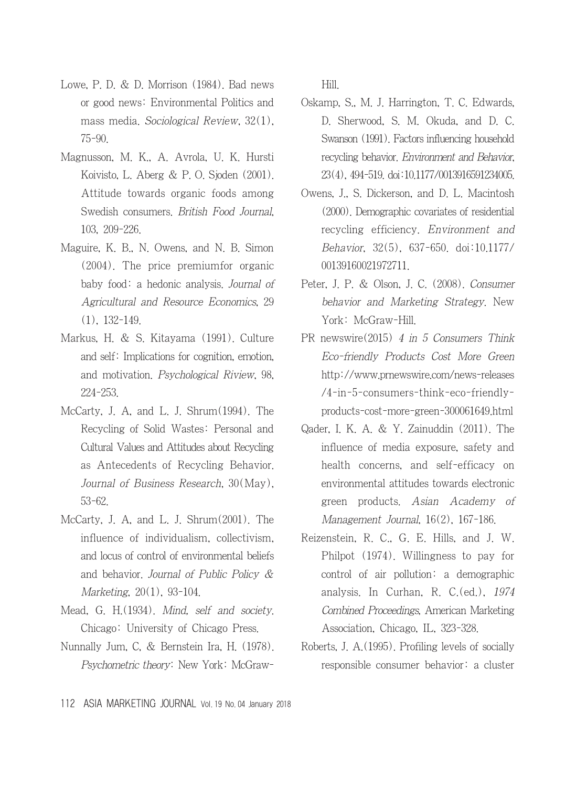- Lowe, P. D. & D. Morrison (1984). Bad news or good news: Environmental Politics and mass media. Sociological Review, 32(1), 75-90.
- Magnusson, M. K., A. Avrola, U. K. Hursti Koivisto, L. Aberg & P. O. Sjoden (2001). Attitude towards organic foods among Swedish consumers. British Food Journal, 103, 209-226.
- Maguire, K. B., N. Owens, and N. B. Simon (2004). The price premiumfor organic baby food: a hedonic analysis. Journal of Agricultural and Resource Economics, 29 (1), 132-149.
- Markus, H. & S. Kitayama (1991). Culture and self: Implications for cognition, emotion, and motivation. Psychological Riview, 98, 224-253.
- McCarty, J. A, and L. J. Shrum(1994). The Recycling of Solid Wastes: Personal and Cultural Values and Attitudes about Recycling as Antecedents of Recycling Behavior. Journal of Business Research, 30(May), 53-62.
- McCarty, J. A, and L. J. Shrum(2001). The influence of individualism, collectivism, and locus of control of environmental beliefs and behavior. Journal of Public Policy & Marketing, 20(1), 93-104.
- Mead, G. H.(1934). Mind, self and society. Chicago: University of Chicago Press.
- Nunnally Jum, C, & Bernstein Ira, H. (1978). Psychometric theory: New York: McGraw-

Hill.

- Oskamp, S., M. J. Harrington, T. C. Edwards, D. Sherwood, S. M. Okuda, and D. C. Swanson (1991). Factors influencing household recycling behavior. Environment and Behavior, 23(4), 494-519. doi:10.1177/0013916591234005.
- Owens, J., S. Dickerson, and D. L. Macintosh (2000). Demographic covariates of residential recycling efficiency. Environment and Behavior, 32(5), 637-650. doi:10.1177/ 00139160021972711.
- Peter, J. P. & Olson, J. C. (2008). Consumer behavior and Marketing Strategy. New York: McGraw-Hill.
- PR newswire(2015) 4 in 5 Consumers Think Eco-friendly Products Cost More Green http://www.prnewswire.com/news-releases /4-in-5-consumers-think-eco-friendlyproducts-cost-more-green-300061649.html
- Qader, I. K. A. & Y. Zainuddin (2011). The influence of media exposure, safety and health concerns, and self-efficacy on environmental attitudes towards electronic green products. Asian Academy of Management Journal, 16(2), 167-186.
- Reizenstein, R. C., G. E. Hills, and J. W. Philpot (1974). Willingness to pay for control of air pollution: a demographic analysis. In Curhan, R. C.(ed.), 1974 Combined Proceedings, American Marketing Association, Chicago, IL, 323-328.
- Roberts, J. A.(1995). Profiling levels of socially responsible consumer behavior: a cluster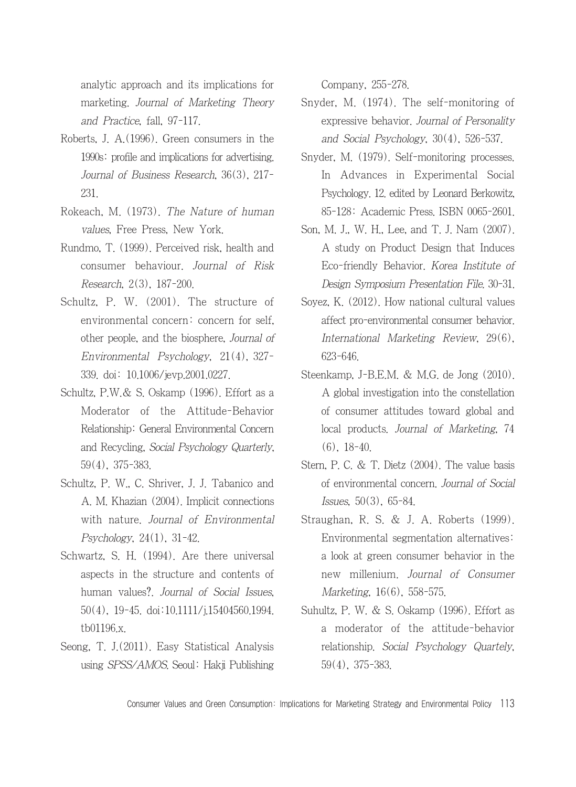analytic approach and its implications for marketing. Journal of Marketing Theory and Practice, fall, 97-117.

- Roberts, J. A.(1996). Green consumers in the 1990s: profile and implications for advertising. Journal of Business Research, 36(3), 217- 231.
- Rokeach, M. (1973). The Nature of human values, Free Press, New York.
- Rundmo, T. (1999). Perceived risk, health and consumer behaviour. Journal of Risk Research, 2(3), 187-200.
- Schultz, P. W. (2001). The structure of environmental concern: concern for self, other people, and the biosphere, Journal of Environmental Psychology, 21(4), 327- 339. doi: 10.1006/jevp.2001.0227.
- Schultz, P.W.& S. Oskamp (1996). Effort as a Moderator of the Attitude-Behavior Relationship: General Environmental Concern and Recycling, Social Psychology Quarterly, 59(4), 375-383.
- Schultz, P. W., C. Shriver, J. J. Tabanico and A. M. Khazian (2004). Implicit connections with nature. Journal of Environmental Psychology, 24(1), 31-42.
- Schwartz, S. H. (1994). Are there universal aspects in the structure and contents of human values?. Journal of Social Issues, 50(4), 19-45. doi:10.1111/j.15404560.1994. tb01196.x.
- Seong, T. J.(2011). Easy Statistical Analysis using SPSS/AMOS. Seoul: Hakji Publishing

Company, 255-278.

- Snyder, M. (1974). The self-monitoring of expressive behavior. Journal of Personality and Social Psychology, 30(4), 526-537.
- Snyder, M. (1979). Self-monitoring processes. In Advances in Experimental Social Psychology. 12. edited by Leonard Berkowitz, 85-128: Academic Press. ISBN 0065-2601.
- Son, M. J., W. H., Lee, and T. J. Nam (2007). A study on Product Design that Induces Eco-friendly Behavior. Korea Institute of Design Symposium Presentation File. 30-31.
- Soyez, K. (2012). How national cultural values affect pro-environmental consumer behavior. International Marketing Review, 29(6), 623-646.
- Steenkamp, J-B.E.M. & M.G. de Jong (2010). A global investigation into the constellation of consumer attitudes toward global and local products. Journal of Marketing, 74 (6), 18-40.
- Stern, P. C. & T. Dietz (2004). The value basis of environmental concern. Journal of Social Issues, 50(3), 65-84.
- Straughan, R. S. & J. A. Roberts (1999). Environmental segmentation alternatives: a look at green consumer behavior in the new millenium. Journal of Consumer Marketing, 16(6), 558-575.
- Suhultz, P. W. & S. Oskamp (1996). Effort as a moderator of the attitude-behavior relationship. Social Psychology Quartely, 59(4), 375-383.